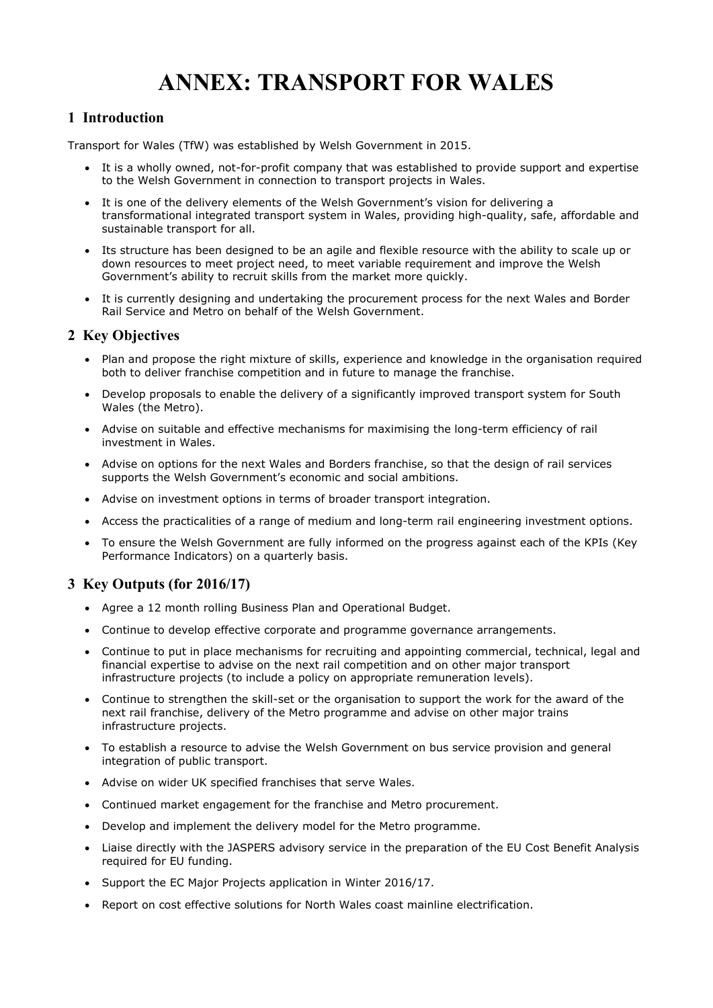# ANNEX: TRANSPORT FOR WALES

# 1 Introduction

Transport for Wales (TfW) was established by Welsh Government in 2015.

- It is a wholly owned, not-for-profit company that was established to provide support and expertise to the Welsh Government in connection to transport projects in Wales.
- It is one of the delivery elements of the Welsh Government's vision for delivering a transformational integrated transport system in Wales, providing high-quality, safe, affordable and sustainable transport for all.
- Its structure has been designed to be an agile and flexible resource with the ability to scale up or down resources to meet project need, to meet variable requirement and improve the Welsh Government's ability to recruit skills from the market more quickly.
- It is currently designing and undertaking the procurement process for the next Wales and Border Rail Service and Metro on behalf of the Welsh Government.

## 2 Key Objectives

- Plan and propose the right mixture of skills, experience and knowledge in the organisation required both to deliver franchise competition and in future to manage the franchise.
- Develop proposals to enable the delivery of a significantly improved transport system for South Wales (the Metro).
- Advise on suitable and effective mechanisms for maximising the long-term efficiency of rail investment in Wales.
- Advise on options for the next Wales and Borders franchise, so that the design of rail services supports the Welsh Government's economic and social ambitions.
- Advise on investment options in terms of broader transport integration.
- Access the practicalities of a range of medium and long-term rail engineering investment options.
- To ensure the Welsh Government are fully informed on the progress against each of the KPIs (Key Performance Indicators) on a quarterly basis.

# 3 Key Outputs (for 2016/17)

- Agree a 12 month rolling Business Plan and Operational Budget.
- Continue to develop effective corporate and programme governance arrangements.
- Continue to put in place mechanisms for recruiting and appointing commercial, technical, legal and financial expertise to advise on the next rail competition and on other major transport infrastructure projects (to include a policy on appropriate remuneration levels).
- Continue to strengthen the skill-set or the organisation to support the work for the award of the next rail franchise, delivery of the Metro programme and advise on other major trains infrastructure projects.
- To establish a resource to advise the Welsh Government on bus service provision and general integration of public transport.
- Advise on wider UK specified franchises that serve Wales.
- Continued market engagement for the franchise and Metro procurement.
- Develop and implement the delivery model for the Metro programme.
- Liaise directly with the JASPERS advisory service in the preparation of the EU Cost Benefit Analysis required for EU funding.
- Support the EC Major Projects application in Winter 2016/17.
- Report on cost effective solutions for North Wales coast mainline electrification.